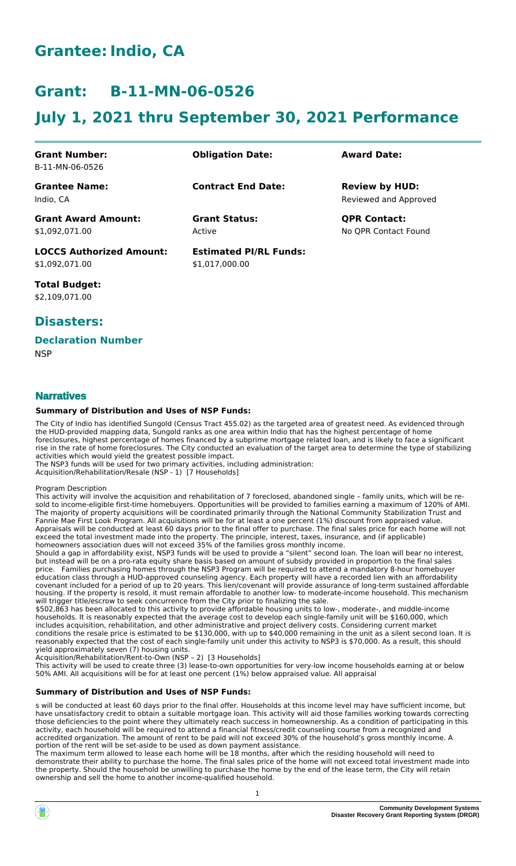# **Grantee:Indio, CA**

# **Grant: B-11-MN-06-0526**

# **July 1, 2021 thru September 30, 2021 Performance**

| <b>Grant Number:</b>            | <b>Obligation Date:</b>       | <b>Award Date:</b>    |
|---------------------------------|-------------------------------|-----------------------|
| B-11-MN-06-0526                 |                               |                       |
| <b>Grantee Name:</b>            | <b>Contract End Date:</b>     | <b>Review by HUD:</b> |
| Indio. CA                       |                               | Reviewed and Approved |
| <b>Grant Award Amount:</b>      | <b>Grant Status:</b>          | <b>QPR Contact:</b>   |
| \$1,092,071.00                  | Active                        | No QPR Contact Found  |
| <b>LOCCS Authorized Amount:</b> | <b>Estimated PI/RL Funds:</b> |                       |
| \$1,092,071.00                  | \$1,017,000.00                |                       |

**Total Budget:** \$2,109,071.00

## **Disasters:**

## **Declaration Number**

**NSP** 

## **Narratives**

## **Summary of Distribution and Uses of NSP Funds:**

The City of Indio has identified Sungold (Census Tract 455.02) as the targeted area of greatest need. As evidenced through the HUD-provided mapping data, Sungold ranks as one area within Indio that has the highest percentage of home foreclosures, highest percentage of homes financed by a subprime mortgage related loan, and is likely to face a significant rise in the rate of home foreclosures. The City conducted an evaluation of the target area to determine the type of stabilizing activities which would yield the greatest possible impact.

The NSP3 funds will be used for two primary activities, including administration: Acquisition/Rehabilitation/Resale (NSP - 1) [7 Households]

Program Description

This activity will involve the acquisition and rehabilitation of 7 foreclosed, abandoned single – family units, which will be resold to income-eligible first-time homebuyers. Opportunities will be provided to families earning a maximum of 120% of AMI. The majority of property acquisitions will be coordinated primarily through the National Community Stabilization Trust and Fannie Mae First Look Program. All acquisitions will be for at least a one percent (1%) discount from appraised value. Appraisals will be conducted at least 60 days prior to the final offer to purchase. The final sales price for each home will not exceed the total investment made into the property. The principle, interest, taxes, insurance, and (if applicable) homeowners association dues will not exceed 35% of the families gross monthly income.

Should a gap in affordability exist, NSP3 funds will be used to provide a "silent" second loan. The loan will bear no interest, but instead will be on a pro-rata equity share basis based on amount of subsidy provided in proportion to the final sales price. Families purchasing homes through the NSP3 Program will be required to attend a mandatory 8-hour homebuyer education class through a HUD-approved counseling agency. Each property will have a recorded lien with an affordability covenant included for a period of up to 20 years. This lien/covenant will provide assurance of long-term sustained affordable housing. If the property is resold, it must remain affordable to another low- to moderate-income household. This mechanism will trigger title/escrow to seek concurrence from the City prior to finalizing the sale.

\$502,863 has been allocated to this activity to provide affordable housing units to low-, moderate-, and middle-income households. It is reasonably expected that the average cost to develop each single-family unit will be \$160,000, which includes acquisition, rehabilitation, and other administrative and project delivery costs. Considering current market conditions the resale price is estimated to be \$130,000, with up to \$40,000 remaining in the unit as a silent second loan. It is reasonably expected that the cost of each single-family unit under this activity to NSP3 is \$70,000. As a result, this should yield approximately seven (7) housing units.

Acquisition/Rehabilitation/Rent-to-Own (NSP – 2) [3 Households]

This activity will be used to create three (3) lease-to-own opportunities for very-low income households earning at or below 50% AMI. All acquisitions will be for at least one percent (1%) below appraised value. All appraisal

### **Summary of Distribution and Uses of NSP Funds:**

s will be conducted at least 60 days prior to the final offer. Households at this income level may have sufficient income, but have unsatisfactory credit to obtain a suitable mortgage loan. This activity will aid those families working towards correcting those deficiencies to the point where they ultimately reach success in homeownership. As a condition of participating in this activity, each household will be required to attend a financial fitness/credit counseling course from a recognized and accredited organization. The amount of rent to be paid will not exceed 30% of the household's gross monthly income. A portion of the rent will be set-aside to be used as down payment assistance.

The maximum term allowed to lease each home will be 18 months, after which the residing household will need to demonstrate their ability to purchase the home. The final sales price of the home will not exceed total investment made into the property. Should the household be unwilling to purchase the home by the end of the lease term, the City will retain ownership and sell the home to another income-qualified household.

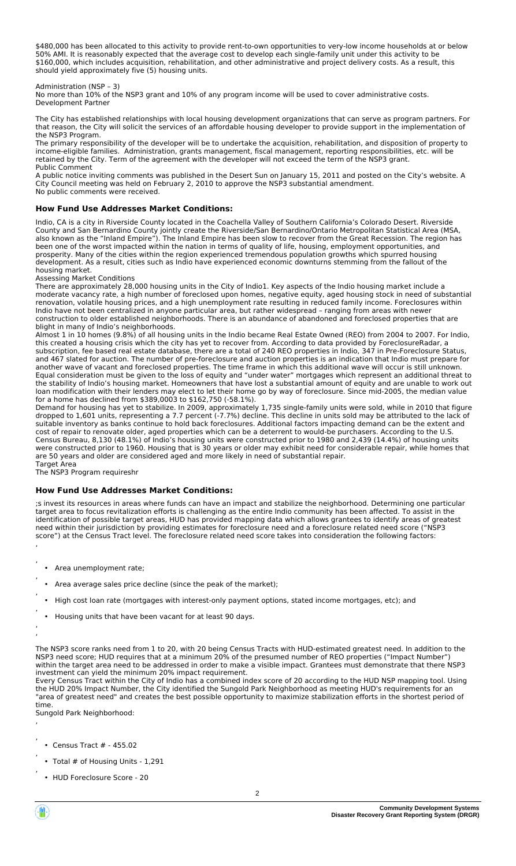\$480,000 has been allocated to this activity to provide rent-to-own opportunities to very-low income households at or below 50% AMI. It is reasonably expected that the average cost to develop each single-family unit under this activity to be \$160,000, which includes acquisition, rehabilitation, and other administrative and project delivery costs. As a result, this should yield approximately five (5) housing units.

#### Administration (NSP – 3)

No more than 10% of the NSP3 grant and 10% of any program income will be used to cover administrative costs. Development Partner

The City has established relationships with local housing development organizations that can serve as program partners. For that reason, the City will solicit the services of an affordable housing developer to provide support in the implementation of the NSP3 Program.

The primary responsibility of the developer will be to undertake the acquisition, rehabilitation, and disposition of property to income-eligible families. Administration, grants management, fiscal management, reporting responsibilities, etc. will be retained by the City. Term of the agreement with the developer will not exceed the term of the NSP3 grant. Public Comment

A public notice inviting comments was published in the Desert Sun on January 15, 2011 and posted on the City's website. A City Council meeting was held on February 2, 2010 to approve the NSP3 substantial amendment. No public comments were received.

#### **How Fund Use Addresses Market Conditions:**

Indio, CA is a city in Riverside County located in the Coachella Valley of Southern California's Colorado Desert. Riverside County and San Bernardino County jointly create the Riverside/San Bernardino/Ontario Metropolitan Statistical Area (MSA, also known as the "Inland Empire"). The Inland Empire has been slow to recover from the Great Recession. The region has been one of the worst impacted within the nation in terms of quality of life, housing, employment opportunities, and prosperity. Many of the cities within the region experienced tremendous population growths which spurred housing development. As a result, cities such as Indio have experienced economic downturns stemming from the fallout of the housing market.

Assessing Market Conditions

There are approximately 28,000 housing units in the City of Indio1. Key aspects of the Indio housing market include a moderate vacancy rate, a high number of foreclosed upon homes, negative equity, aged housing stock in need of substantial renovation, volatile housing prices, and a high unemployment rate resulting in reduced family income. Foreclosures within Indio have not been centralized in anyone particular area, but rather widespread – ranging from areas with newer construction to older established neighborhoods. There is an abundance of abandoned and foreclosed properties that are blight in many of Indio's neighborhoods.

Almost 1 in 10 homes (9.8%) of all housing units in the Indio became Real Estate Owned (REO) from 2004 to 2007. For Indio, this created a housing crisis which the city has yet to recover from. According to data provided by ForeclosureRadar, a subscription, fee based real estate database, there are a total of 240 REO properties in Indio, 347 in Pre-Foreclosure Status, and 467 slated for auction. The number of pre-foreclosure and auction properties is an indication that Indio must prepare for another wave of vacant and foreclosed properties. The time frame in which this additional wave will occur is still unknown. Equal consideration must be given to the loss of equity and "under water" mortgages which represent an additional threat to the stability of Indio's housing market. Homeowners that have lost a substantial amount of equity and are unable to work out loan modification with their lenders may elect to let their home go by way of foreclosure. Since mid-2005, the median value for a home has declined from \$389,0003 to \$162,750 (-58.1%).

Demand for housing has yet to stabilize. In 2009, approximately 1,735 single-family units were sold, while in 2010 that figure dropped to 1,601 units, representing a 7.7 percent (-7.7%) decline. This decline in units sold may be attributed to the lack of suitable inventory as banks continue to hold back foreclosures. Additional factors impacting demand can be the extent and cost of repair to renovate older, aged properties which can be a deterrent to would-be purchasers. According to the U.S. Census Bureau, 8,130 (48.1%) of Indio's housing units were constructed prior to 1980 and 2,439 (14.4%) of housing units were constructed prior to 1960. Housing that is 30 years or older may exhibit need for considerable repair, while homes that are 50 years and older are considered aged and more likely in need of substantial repair. Target Area

The NSP3 Program requireshr

#### **How Fund Use Addresses Market Conditions:**

;s invest its resources in areas where funds can have an impact and stabilize the neighborhood. Determining one particular target area to focus revitalization efforts is challenging as the entire Indio community has been affected. To assist in the identification of possible target areas, HUD has provided mapping data which allows grantees to identify areas of greatest need within their jurisdiction by providing estimates for foreclosure need and a foreclosure related need score ("NSP3 score") at the Census Tract level. The foreclosure related need score takes into consideration the following factors:

- Area unemployment rate;
- Area average sales price decline (since the peak of the market);
- High cost loan rate (mortgages with interest-only payment options, stated income mortgages, etc); and
- Housing units that have been vacant for at least 90 days.

, ,

,

,

,

The NSP3 score ranks need from 1 to 20, with 20 being Census Tracts with HUD-estimated greatest need. In addition to the NSP3 need score; HUD requires that at a minimum 20% of the presumed number of REO properties ("Impact Number") within the target area need to be addressed in order to make a visible impact. Grantees must demonstrate that there NSP3 investment can yield the minimum 20% impact requirement.

Every Census Tract within the City of Indio has a combined index score of 20 according to the HUD NSP mapping tool. Using the HUD 20% Impact Number, the City identified the Sungold Park Neighborhood as meeting HUD's requirements for an "area of greatest need" and creates the best possible opportunity to maximize stabilization efforts in the shortest period of time.

Sungold Park Neighborhood: ,

- , • Census Tract # - 455.02
- , • Total # of Housing Units - 1,291
- HUD Foreclosure Score 20



,

<sup>,</sup> ,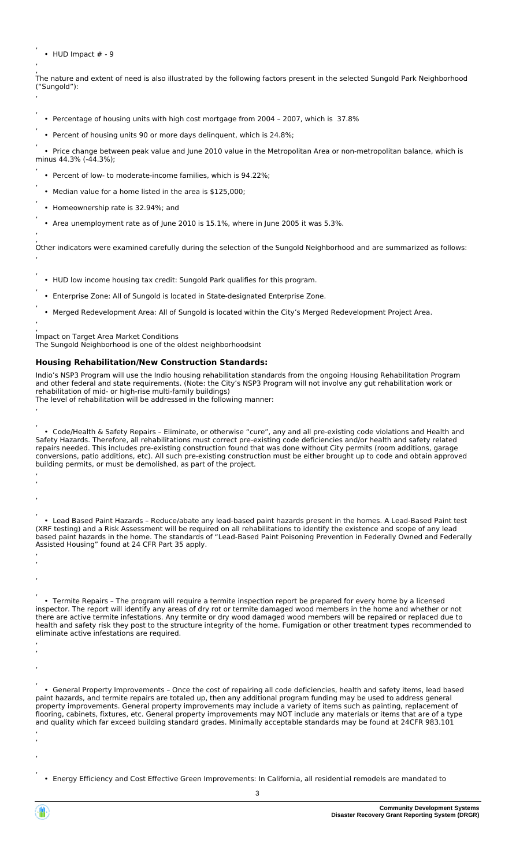• HUD Impact # - 9

,

,

,

,

,

,

,

,

,

,

,

,

, ,

, , ,

, , ,

, , ,

, The nature and extent of need is also illustrated by the following factors present in the selected Sungold Park Neighborhood ("Sungold"): ,

- Percentage of housing units with high cost mortgage from 2004 2007, which is 37.8%
- Percent of housing units 90 or more days delinquent, which is 24.8%;

, • Price change between peak value and June 2010 value in the Metropolitan Area or non-metropolitan balance, which is minus 44.3% (-44.3%); ,

- Percent of low- to moderate-income families, which is 94.22%;
- Median value for a home listed in the area is \$125,000;
- Homeownership rate is 32.94%; and
- Area unemployment rate as of June 2010 is 15.1%, where in June 2005 it was 5.3%.

, Other indicators were examined carefully during the selection of the Sungold Neighborhood and are summarized as follows: ,

- HUD low income housing tax credit: Sungold Park qualifies for this program.
- Enterprise Zone: All of Sungold is located in State-designated Enterprise Zone.
- Merged Redevelopment Area: All of Sungold is located within the City's Merged Redevelopment Project Area.

, Impact on Target Area Market Conditions

The Sungold Neighborhood is one of the oldest neighborhoodsint

### **Housing Rehabilitation/New Construction Standards:**

Indio's NSP3 Program will use the Indio housing rehabilitation standards from the ongoing Housing Rehabilitation Program and other federal and state requirements. (Note: the City's NSP3 Program will not involve any gut rehabilitation work or rehabilitation of mid- or high-rise multi-family buildings)

The level of rehabilitation will be addressed in the following manner: ,

, • Code/Health & Safety Repairs – Eliminate, or otherwise "cure", any and all pre-existing code violations and Health and Safety Hazards. Therefore, all rehabilitations must correct pre-existing code deficiencies and/or health and safety related repairs needed. This includes pre-existing construction found that was done without City permits (room additions, garage conversions, patio additions, etc). All such pre-existing construction must be either brought up to code and obtain approved building permits, or must be demolished, as part of the project. ,

, • Lead Based Paint Hazards – Reduce/abate any lead-based paint hazards present in the homes. A Lead-Based Paint test (XRF testing) and a Risk Assessment will be required on all rehabilitations to identify the existence and scope of any lead based paint hazards in the home. The standards of "Lead-Based Paint Poisoning Prevention in Federally Owned and Federally Assisted Housing" found at 24 CFR Part 35 apply.

, • Termite Repairs – The program will require a termite inspection report be prepared for every home by a licensed inspector. The report will identify any areas of dry rot or termite damaged wood members in the home and whether or not there are active termite infestations. Any termite or dry wood damaged wood members will be repaired or replaced due to health and safety risk they post to the structure integrity of the home. Fumigation or other treatment types recommended to eliminate active infestations are required.

, • General Property Improvements – Once the cost of repairing all code deficiencies, health and safety items, lead based paint hazards, and termite repairs are totaled up, then any additional program funding may be used to address general property improvements. General property improvements may include a variety of items such as painting, replacement of flooring, cabinets, fixtures, etc. General property improvements may NOT include any materials or items that are of a type and quality which far exceed building standard grades. Minimally acceptable standards may be found at 24CFR 983.101 ,

• Energy Efficiency and Cost Effective Green Improvements: In California, all residential remodels are mandated to

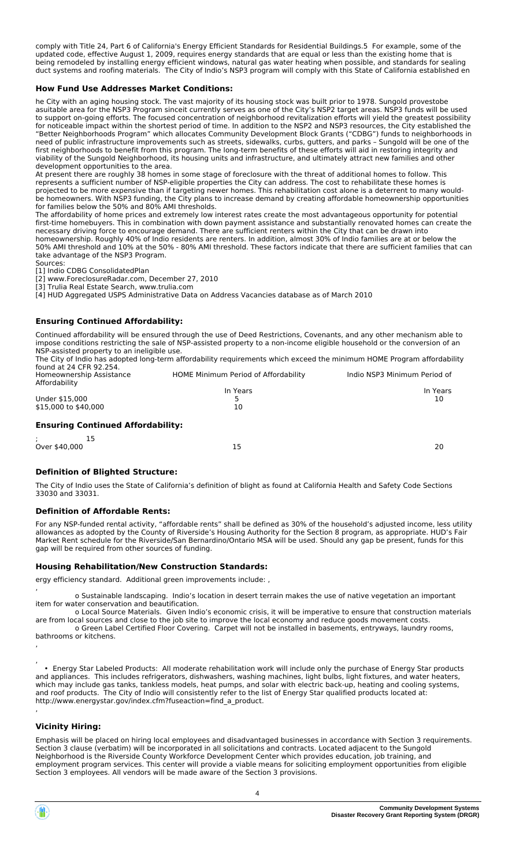comply with Title 24, Part 6 of California's Energy Efficient Standards for Residential Buildings.5 For example, some of the updated code, effective August 1, 2009, requires energy standards that are equal or less than the existing home that is being remodeled by installing energy efficient windows, natural gas water heating when possible, and standards for sealing duct systems and roofing materials. The City of Indio's NSP3 program will comply with this State of California established en

#### **How Fund Use Addresses Market Conditions:**

he City with an aging housing stock. The vast majority of its housing stock was built prior to 1978. Sungold provestobe asuitable area for the NSP3 Program sinceit currently serves as one of the City's NSP2 target areas. NSP3 funds will be used to support on-going efforts. The focused concentration of neighborhood revitalization efforts will yield the greatest possibility for noticeable impact within the shortest period of time. In addition to the NSP2 and NSP3 resources, the City established the "Better Neighborhoods Program" which allocates Community Development Block Grants ("CDBG") funds to neighborhoods in need of public infrastructure improvements such as streets, sidewalks, curbs, gutters, and parks – Sungold will be one of the first neighborhoods to benefit from this program. The long-term benefits of these efforts will aid in restoring integrity and viability of the Sungold Neighborhood, its housing units and infrastructure, and ultimately attract new families and other development opportunities to the area.

At present there are roughly 38 homes in some stage of foreclosure with the threat of additional homes to follow. This represents a sufficient number of NSP-eligible properties the City can address. The cost to rehabilitate these homes is projected to be more expensive than if targeting newer homes. This rehabilitation cost alone is a deterrent to many wouldbe homeowners. With NSP3 funding, the City plans to increase demand by creating affordable homeownership opportunities for families below the 50% and 80% AMI thresholds.

The affordability of home prices and extremely low interest rates create the most advantageous opportunity for potential first-time homebuyers. This in combination with down payment assistance and substantially renovated homes can create the necessary driving force to encourage demand. There are sufficient renters within the City that can be drawn into homeownership. Roughly 40% of Indio residents are renters. In addition, almost 30% of Indio families are at or below the 50% AMI threshold and 10% at the 50% - 80% AMI threshold. These factors indicate that there are sufficient families that can take advantage of the NSP3 Program.

Sources: [1] Indio CDBG ConsolidatedPlan

[2] www.ForeclosureRadar.com, December 27, 2010

[3] Trulia Real Estate Search, www.trulia.com

[4] HUD Aggregated USPS Administrative Data on Address Vacancies database as of March 2010

#### **Ensuring Continued Affordability:**

Continued affordability will be ensured through the use of Deed Restrictions, Covenants, and any other mechanism able to impose conditions restricting the sale of NSP-assisted property to a non-income eligible household or the conversion of an NSP-assisted property to an ineligible use. The City of Indio has adopted long-term affordability requirements which exceed the minimum HOME Program affordability

found at 24 CFR 92.254.<br>Homeownership Assistance HOME Minimum Period of Affordability **Indio NSP3 Minimum Period of** Affordability In Years In Years Under \$15,000 5 10  $$15,000$  to  $$40,000$ 

|  | <b>Ensuring Continued Affordability:</b> |  |
|--|------------------------------------------|--|
|  |                                          |  |

|               | -- |                           |
|---------------|----|---------------------------|
| Over \$40,000 |    | 20<br>- -<br>--<br>$\sim$ |

#### **Definition of Blighted Structure:**

The City of Indio uses the State of California's definition of blight as found at California Health and Safety Code Sections 33030 and 33031.

#### **Definition of Affordable Rents:**

For any NSP-funded rental activity, "affordable rents" shall be defined as 30% of the household's adjusted income, less utility allowances as adopted by the County of Riverside's Housing Authority for the Section 8 program, as appropriate. HUD's Fair Market Rent schedule for the Riverside/San Bernardino/Ontario MSA will be used. Should any gap be present, funds for this gap will be required from other sources of funding.

#### **Housing Rehabilitation/New Construction Standards:**

ergy efficiency standard. Additional green improvements include: ,

, o Sustainable landscaping. Indio's location in desert terrain makes the use of native vegetation an important item for water conservation and beautification.

 o Local Source Materials. Given Indio's economic crisis, it will be imperative to ensure that construction materials are from local sources and close to the job site to improve the local economy and reduce goods movement costs. o Green Label Certified Floor Covering. Carpet will not be installed in basements, entryways, laundry rooms,

bathrooms or kitchens.

 • Energy Star Labeled Products: All moderate rehabilitation work will include only the purchase of Energy Star products and appliances. This includes refrigerators, dishwashers, washing machines, light bulbs, light fixtures, and water heaters, which may include gas tanks, tankless models, heat pumps, and solar with electric back-up, heating and cooling systems, and roof products. The City of Indio will consistently refer to the list of Energy Star qualified products located at: http://www.energystar.gov/index.cfm?fuseaction=find\_a\_product. ,

#### **Vicinity Hiring:**

Emphasis will be placed on hiring local employees and disadvantaged businesses in accordance with Section 3 requirements. Section 3 clause (verbatim) will be incorporated in all solicitations and contracts. Located adjacent to the Sungold Neighborhood is the Riverside County Workforce Development Center which provides education, job training, and employment program services. This center will provide a viable means for soliciting employment opportunities from eligible Section 3 employees. All vendors will be made aware of the Section 3 provisions.



, ,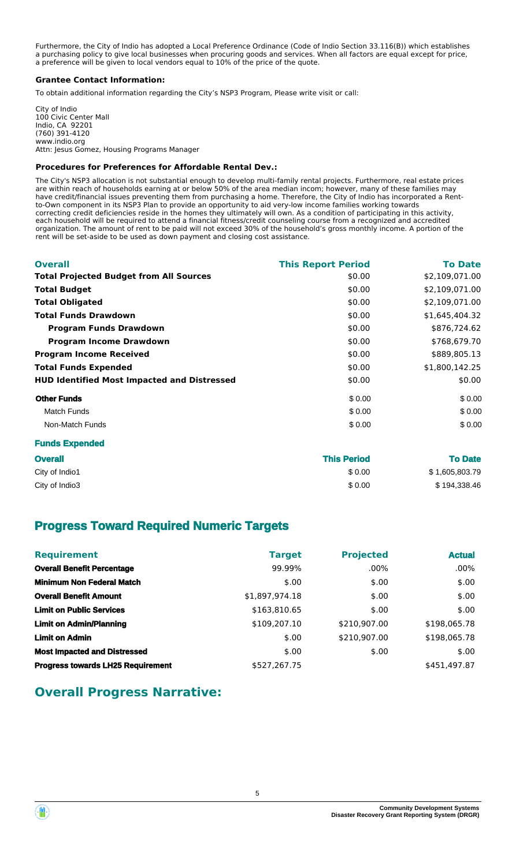Furthermore, the City of Indio has adopted a Local Preference Ordinance (Code of Indio Section 33.116(B)) which establishes a purchasing policy to give local businesses when procuring goods and services. When all factors are equal except for price, a preference will be given to local vendors equal to 10% of the price of the quote.

### **Grantee Contact Information:**

To obtain additional information regarding the City's NSP3 Program, Please write visit or call:

City of Indio 100 Civic Center Mall Indio, CA 92201 (760) 391-4120 www.indio.org Attn: Jesus Gomez, Housing Programs Manager

### **Procedures for Preferences for Affordable Rental Dev.:**

The City's NSP3 allocation is not substantial enough to develop multi-family rental projects. Furthermore, real estate prices are within reach of households earning at or below 50% of the area median incom; however, many of these families may have credit/financial issues preventing them from purchasing a home. Therefore, the City of Indio has incorporated a Rentto-Own component in its NSP3 Plan to provide an opportunity to aid very-low income families working towards correcting credit deficiencies reside in the homes they ultimately will own. As a condition of participating in this activity, each household will be required to attend a financial fitness/credit counseling course from a recognized and accredited organization. The amount of rent to be paid will not exceed 30% of the household's gross monthly income. A portion of the rent will be set-aside to be used as down payment and closing cost assistance.

| <b>This Report Period</b> | <b>To Date</b> |
|---------------------------|----------------|
| \$0.00                    | \$2,109,071.00 |
| \$0.00                    | \$2,109,071.00 |
| \$0.00                    | \$2,109,071.00 |
| \$0.00                    | \$1,645,404.32 |
| \$0.00                    | \$876,724.62   |
| \$0.00                    | \$768,679.70   |
| \$0.00                    | \$889,805.13   |
| \$0.00                    | \$1,800,142.25 |
| \$0.00                    | \$0.00         |
| \$0.00                    | \$0.00         |
| \$0.00                    | \$0.00         |
| \$0.00                    | \$0.00         |
|                           |                |

## **Funds Expended**

| <b>Overall</b> | <b>This Period</b> | <b>To Date</b> |
|----------------|--------------------|----------------|
| City of Indio1 | \$0.00             | \$1,605,803.79 |
| City of Indio3 | \$0.00             | \$194,338.46   |

## **Progress Toward Required Numeric Targets**

| <b>Requirement</b>                       | <b>Target</b>  | <b>Projected</b> | <b>Actual</b> |
|------------------------------------------|----------------|------------------|---------------|
| <b>Overall Benefit Percentage</b>        | 99.99%         | $.00\%$          | $.00\%$       |
| <b>Minimum Non Federal Match</b>         | \$.00          | \$.00            | \$.00         |
| <b>Overall Benefit Amount</b>            | \$1,897,974.18 | \$.00            | \$.00         |
| <b>Limit on Public Services</b>          | \$163,810.65   | \$.00            | \$.00         |
| <b>Limit on Admin/Planning</b>           | \$109,207.10   | \$210,907.00     | \$198,065.78  |
| <b>Limit on Admin</b>                    | \$.00          | \$210,907.00     | \$198,065.78  |
| <b>Most Impacted and Distressed</b>      | \$.00          | \$.00            | \$.00         |
| <b>Progress towards LH25 Requirement</b> | \$527,267.75   |                  | \$451.497.87  |

## **Overall Progress Narrative:**